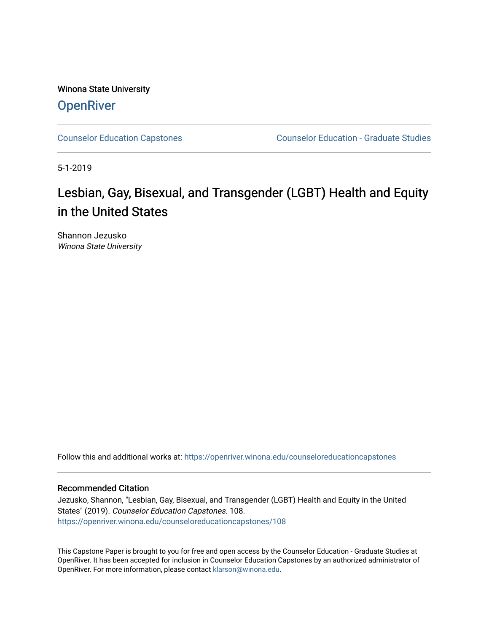Winona State University **OpenRiver** 

[Counselor Education Capstones](https://openriver.winona.edu/counseloreducationcapstones) [Counselor Education - Graduate Studies](https://openriver.winona.edu/counseloreducation) 

5-1-2019

# Lesbian, Gay, Bisexual, and Transgender (LGBT) Health and Equity in the United States

Shannon Jezusko Winona State University

Follow this and additional works at: [https://openriver.winona.edu/counseloreducationcapstones](https://openriver.winona.edu/counseloreducationcapstones?utm_source=openriver.winona.edu%2Fcounseloreducationcapstones%2F108&utm_medium=PDF&utm_campaign=PDFCoverPages)

#### Recommended Citation

Jezusko, Shannon, "Lesbian, Gay, Bisexual, and Transgender (LGBT) Health and Equity in the United States" (2019). Counselor Education Capstones. 108. [https://openriver.winona.edu/counseloreducationcapstones/108](https://openriver.winona.edu/counseloreducationcapstones/108?utm_source=openriver.winona.edu%2Fcounseloreducationcapstones%2F108&utm_medium=PDF&utm_campaign=PDFCoverPages)

This Capstone Paper is brought to you for free and open access by the Counselor Education - Graduate Studies at OpenRiver. It has been accepted for inclusion in Counselor Education Capstones by an authorized administrator of OpenRiver. For more information, please contact [klarson@winona.edu](mailto:klarson@winona.edu).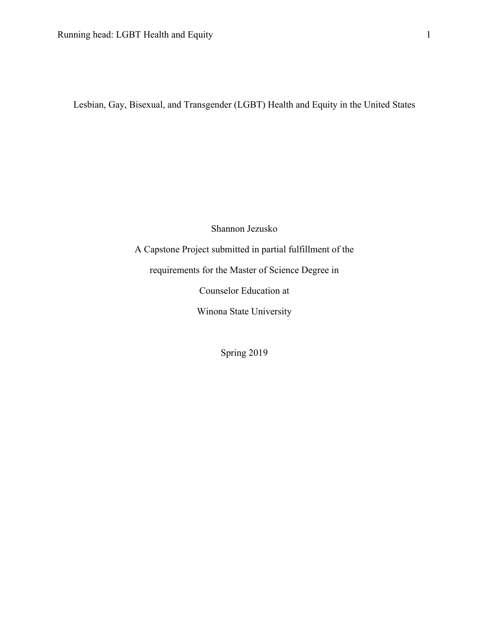Lesbian, Gay, Bisexual, and Transgender (LGBT) Health and Equity in the United States

Shannon Jezusko

A Capstone Project submitted in partial fulfillment of the

requirements for the Master of Science Degree in

Counselor Education at

Winona State University

Spring 2019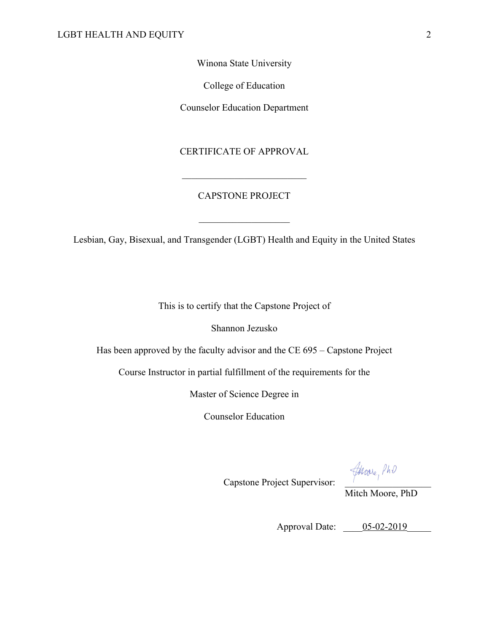Winona State University

College of Education

Counselor Education Department

## CERTIFICATE OF APPROVAL

## CAPSTONE PROJECT

Lesbian, Gay, Bisexual, and Transgender (LGBT) Health and Equity in the United States

This is to certify that the Capstone Project of

Shannon Jezusko

Has been approved by the faculty advisor and the CE 695 – Capstone Project

Course Instructor in partial fulfillment of the requirements for the

Master of Science Degree in

Counselor Education

Capstone Project Supervisor:  $\frac{d\mu_{\text{ov}_{e}}}{d\mu_{\text{ov}_{e}}}}$  PhD

Mitch Moore, PhD

Approval Date: \_\_\_\_\_05-02-2019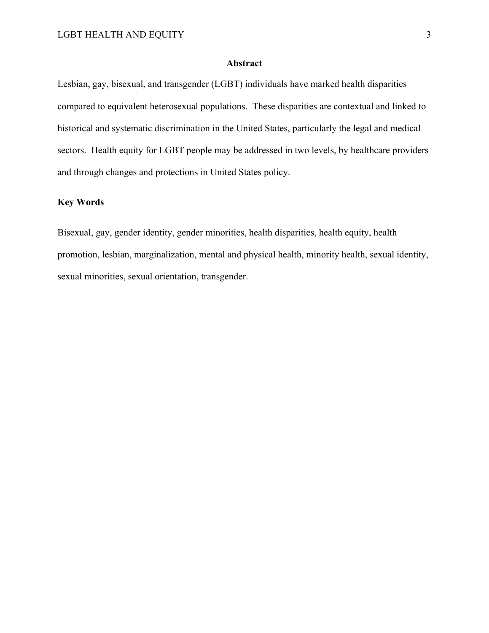#### **Abstract**

Lesbian, gay, bisexual, and transgender (LGBT) individuals have marked health disparities compared to equivalent heterosexual populations. These disparities are contextual and linked to historical and systematic discrimination in the United States, particularly the legal and medical sectors. Health equity for LGBT people may be addressed in two levels, by healthcare providers and through changes and protections in United States policy.

## **Key Words**

Bisexual, gay, gender identity, gender minorities, health disparities, health equity, health promotion, lesbian, marginalization, mental and physical health, minority health, sexual identity, sexual minorities, sexual orientation, transgender.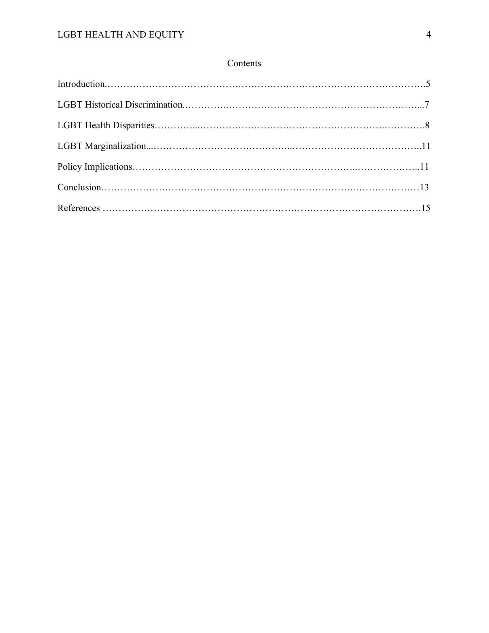## Contents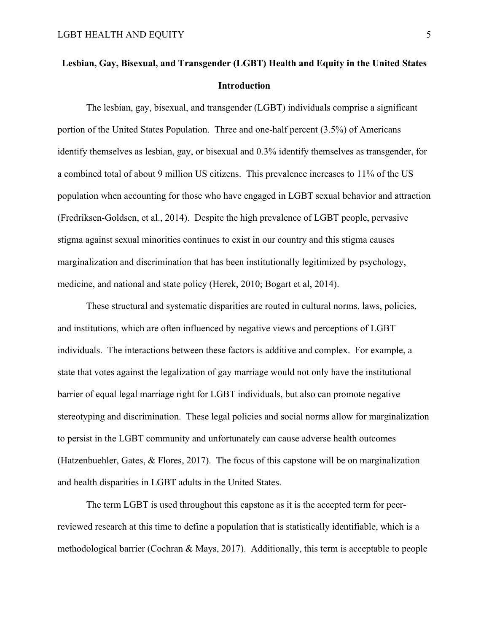## **Lesbian, Gay, Bisexual, and Transgender (LGBT) Health and Equity in the United States Introduction**

The lesbian, gay, bisexual, and transgender (LGBT) individuals comprise a significant portion of the United States Population. Three and one-half percent (3.5%) of Americans identify themselves as lesbian, gay, or bisexual and 0.3% identify themselves as transgender, for a combined total of about 9 million US citizens. This prevalence increases to 11% of the US population when accounting for those who have engaged in LGBT sexual behavior and attraction (Fredriksen-Goldsen, et al., 2014). Despite the high prevalence of LGBT people, pervasive stigma against sexual minorities continues to exist in our country and this stigma causes marginalization and discrimination that has been institutionally legitimized by psychology, medicine, and national and state policy (Herek, 2010; Bogart et al, 2014).

These structural and systematic disparities are routed in cultural norms, laws, policies, and institutions, which are often influenced by negative views and perceptions of LGBT individuals. The interactions between these factors is additive and complex. For example, a state that votes against the legalization of gay marriage would not only have the institutional barrier of equal legal marriage right for LGBT individuals, but also can promote negative stereotyping and discrimination. These legal policies and social norms allow for marginalization to persist in the LGBT community and unfortunately can cause adverse health outcomes (Hatzenbuehler, Gates, & Flores, 2017). The focus of this capstone will be on marginalization and health disparities in LGBT adults in the United States.

The term LGBT is used throughout this capstone as it is the accepted term for peerreviewed research at this time to define a population that is statistically identifiable, which is a methodological barrier (Cochran & Mays, 2017). Additionally, this term is acceptable to people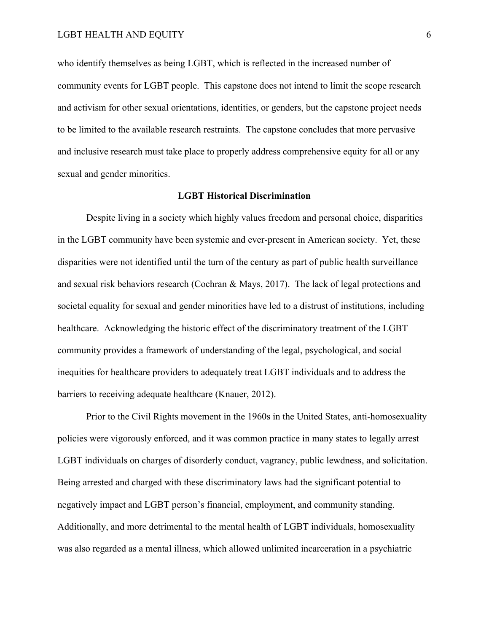who identify themselves as being LGBT, which is reflected in the increased number of community events for LGBT people. This capstone does not intend to limit the scope research and activism for other sexual orientations, identities, or genders, but the capstone project needs to be limited to the available research restraints. The capstone concludes that more pervasive and inclusive research must take place to properly address comprehensive equity for all or any sexual and gender minorities.

#### **LGBT Historical Discrimination**

Despite living in a society which highly values freedom and personal choice, disparities in the LGBT community have been systemic and ever-present in American society. Yet, these disparities were not identified until the turn of the century as part of public health surveillance and sexual risk behaviors research (Cochran & Mays, 2017). The lack of legal protections and societal equality for sexual and gender minorities have led to a distrust of institutions, including healthcare. Acknowledging the historic effect of the discriminatory treatment of the LGBT community provides a framework of understanding of the legal, psychological, and social inequities for healthcare providers to adequately treat LGBT individuals and to address the barriers to receiving adequate healthcare (Knauer, 2012).

Prior to the Civil Rights movement in the 1960s in the United States, anti-homosexuality policies were vigorously enforced, and it was common practice in many states to legally arrest LGBT individuals on charges of disorderly conduct, vagrancy, public lewdness, and solicitation. Being arrested and charged with these discriminatory laws had the significant potential to negatively impact and LGBT person's financial, employment, and community standing. Additionally, and more detrimental to the mental health of LGBT individuals, homosexuality was also regarded as a mental illness, which allowed unlimited incarceration in a psychiatric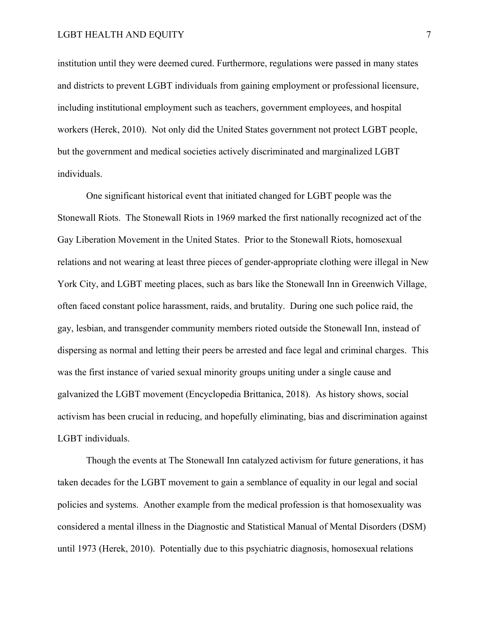#### LGBT HEALTH AND EQUITY 7

institution until they were deemed cured. Furthermore, regulations were passed in many states and districts to prevent LGBT individuals from gaining employment or professional licensure, including institutional employment such as teachers, government employees, and hospital workers (Herek, 2010). Not only did the United States government not protect LGBT people, but the government and medical societies actively discriminated and marginalized LGBT individuals.

One significant historical event that initiated changed for LGBT people was the Stonewall Riots. The Stonewall Riots in 1969 marked the first nationally recognized act of the Gay Liberation Movement in the United States. Prior to the Stonewall Riots, homosexual relations and not wearing at least three pieces of gender-appropriate clothing were illegal in New York City, and LGBT meeting places, such as bars like the Stonewall Inn in Greenwich Village, often faced constant police harassment, raids, and brutality. During one such police raid, the gay, lesbian, and transgender community members rioted outside the Stonewall Inn, instead of dispersing as normal and letting their peers be arrested and face legal and criminal charges. This was the first instance of varied sexual minority groups uniting under a single cause and galvanized the LGBT movement (Encyclopedia Brittanica, 2018). As history shows, social activism has been crucial in reducing, and hopefully eliminating, bias and discrimination against LGBT individuals.

Though the events at The Stonewall Inn catalyzed activism for future generations, it has taken decades for the LGBT movement to gain a semblance of equality in our legal and social policies and systems. Another example from the medical profession is that homosexuality was considered a mental illness in the Diagnostic and Statistical Manual of Mental Disorders (DSM) until 1973 (Herek, 2010). Potentially due to this psychiatric diagnosis, homosexual relations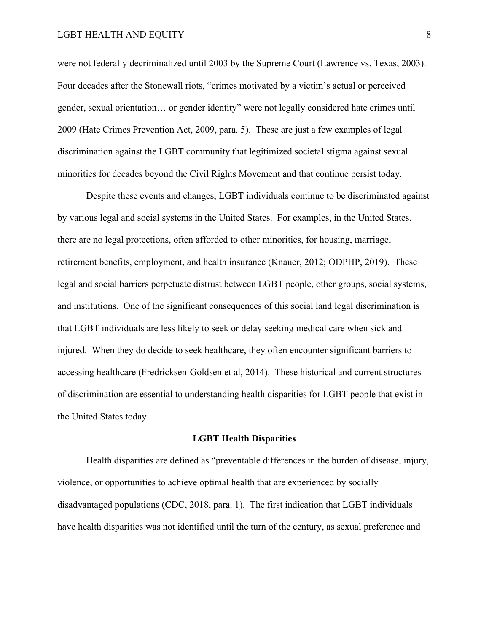#### LGBT HEALTH AND EQUITY 8

were not federally decriminalized until 2003 by the Supreme Court (Lawrence vs. Texas, 2003). Four decades after the Stonewall riots, "crimes motivated by a victim's actual or perceived gender, sexual orientation… or gender identity" were not legally considered hate crimes until 2009 (Hate Crimes Prevention Act, 2009, para. 5). These are just a few examples of legal discrimination against the LGBT community that legitimized societal stigma against sexual minorities for decades beyond the Civil Rights Movement and that continue persist today.

Despite these events and changes, LGBT individuals continue to be discriminated against by various legal and social systems in the United States. For examples, in the United States, there are no legal protections, often afforded to other minorities, for housing, marriage, retirement benefits, employment, and health insurance (Knauer, 2012; ODPHP, 2019). These legal and social barriers perpetuate distrust between LGBT people, other groups, social systems, and institutions. One of the significant consequences of this social land legal discrimination is that LGBT individuals are less likely to seek or delay seeking medical care when sick and injured. When they do decide to seek healthcare, they often encounter significant barriers to accessing healthcare (Fredricksen-Goldsen et al, 2014). These historical and current structures of discrimination are essential to understanding health disparities for LGBT people that exist in the United States today.

#### **LGBT Health Disparities**

Health disparities are defined as "preventable differences in the burden of disease, injury, violence, or opportunities to achieve optimal health that are experienced by socially disadvantaged populations (CDC, 2018, para. 1). The first indication that LGBT individuals have health disparities was not identified until the turn of the century, as sexual preference and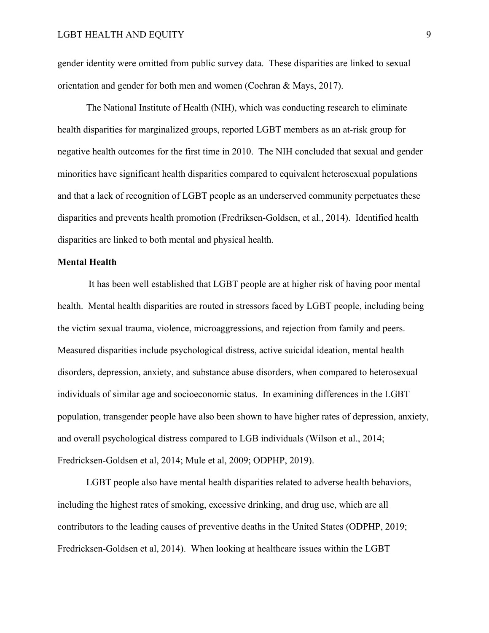gender identity were omitted from public survey data. These disparities are linked to sexual orientation and gender for both men and women (Cochran & Mays, 2017).

The National Institute of Health (NIH), which was conducting research to eliminate health disparities for marginalized groups, reported LGBT members as an at-risk group for negative health outcomes for the first time in 2010. The NIH concluded that sexual and gender minorities have significant health disparities compared to equivalent heterosexual populations and that a lack of recognition of LGBT people as an underserved community perpetuates these disparities and prevents health promotion (Fredriksen-Goldsen, et al., 2014). Identified health disparities are linked to both mental and physical health.

#### **Mental Health**

It has been well established that LGBT people are at higher risk of having poor mental health. Mental health disparities are routed in stressors faced by LGBT people, including being the victim sexual trauma, violence, microaggressions, and rejection from family and peers. Measured disparities include psychological distress, active suicidal ideation, mental health disorders, depression, anxiety, and substance abuse disorders, when compared to heterosexual individuals of similar age and socioeconomic status. In examining differences in the LGBT population, transgender people have also been shown to have higher rates of depression, anxiety, and overall psychological distress compared to LGB individuals (Wilson et al., 2014; Fredricksen-Goldsen et al, 2014; Mule et al, 2009; ODPHP, 2019).

LGBT people also have mental health disparities related to adverse health behaviors, including the highest rates of smoking, excessive drinking, and drug use, which are all contributors to the leading causes of preventive deaths in the United States (ODPHP, 2019; Fredricksen-Goldsen et al, 2014). When looking at healthcare issues within the LGBT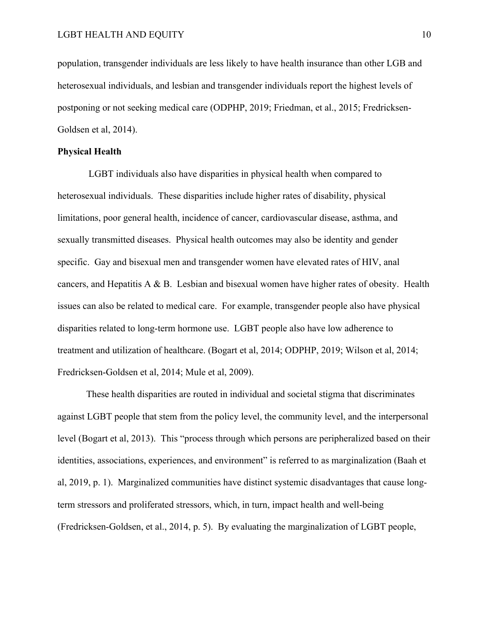population, transgender individuals are less likely to have health insurance than other LGB and heterosexual individuals, and lesbian and transgender individuals report the highest levels of postponing or not seeking medical care (ODPHP, 2019; Friedman, et al., 2015; Fredricksen-Goldsen et al, 2014).

#### **Physical Health**

LGBT individuals also have disparities in physical health when compared to heterosexual individuals. These disparities include higher rates of disability, physical limitations, poor general health, incidence of cancer, cardiovascular disease, asthma, and sexually transmitted diseases. Physical health outcomes may also be identity and gender specific. Gay and bisexual men and transgender women have elevated rates of HIV, anal cancers, and Hepatitis A  $\&$  B. Lesbian and bisexual women have higher rates of obesity. Health issues can also be related to medical care. For example, transgender people also have physical disparities related to long-term hormone use. LGBT people also have low adherence to treatment and utilization of healthcare. (Bogart et al, 2014; ODPHP, 2019; Wilson et al, 2014; Fredricksen-Goldsen et al, 2014; Mule et al, 2009).

These health disparities are routed in individual and societal stigma that discriminates against LGBT people that stem from the policy level, the community level, and the interpersonal level (Bogart et al, 2013). This "process through which persons are peripheralized based on their identities, associations, experiences, and environment" is referred to as marginalization (Baah et al, 2019, p. 1). Marginalized communities have distinct systemic disadvantages that cause longterm stressors and proliferated stressors, which, in turn, impact health and well-being (Fredricksen-Goldsen, et al., 2014, p. 5). By evaluating the marginalization of LGBT people,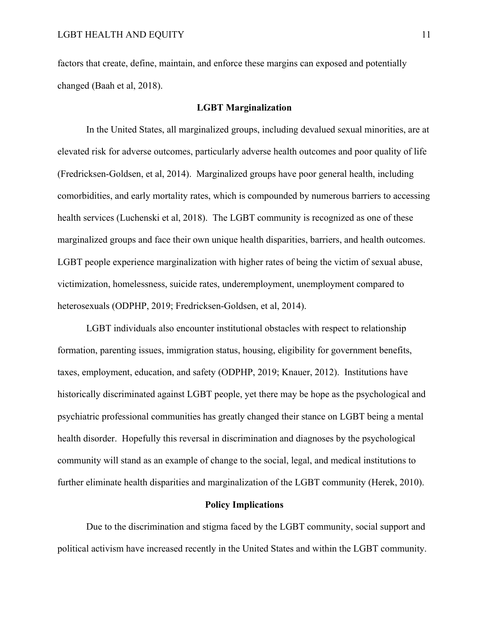factors that create, define, maintain, and enforce these margins can exposed and potentially changed (Baah et al, 2018).

#### **LGBT Marginalization**

In the United States, all marginalized groups, including devalued sexual minorities, are at elevated risk for adverse outcomes, particularly adverse health outcomes and poor quality of life (Fredricksen-Goldsen, et al, 2014). Marginalized groups have poor general health, including comorbidities, and early mortality rates, which is compounded by numerous barriers to accessing health services (Luchenski et al, 2018). The LGBT community is recognized as one of these marginalized groups and face their own unique health disparities, barriers, and health outcomes. LGBT people experience marginalization with higher rates of being the victim of sexual abuse, victimization, homelessness, suicide rates, underemployment, unemployment compared to heterosexuals (ODPHP, 2019; Fredricksen-Goldsen, et al, 2014).

LGBT individuals also encounter institutional obstacles with respect to relationship formation, parenting issues, immigration status, housing, eligibility for government benefits, taxes, employment, education, and safety (ODPHP, 2019; Knauer, 2012). Institutions have historically discriminated against LGBT people, yet there may be hope as the psychological and psychiatric professional communities has greatly changed their stance on LGBT being a mental health disorder. Hopefully this reversal in discrimination and diagnoses by the psychological community will stand as an example of change to the social, legal, and medical institutions to further eliminate health disparities and marginalization of the LGBT community (Herek, 2010).

#### **Policy Implications**

Due to the discrimination and stigma faced by the LGBT community, social support and political activism have increased recently in the United States and within the LGBT community.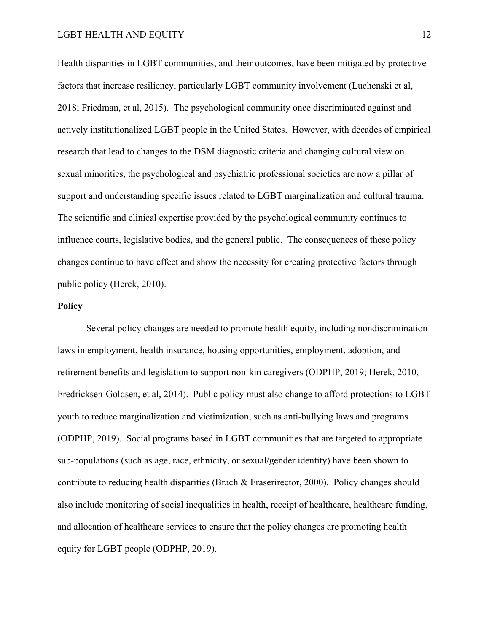Health disparities in LGBT communities, and their outcomes, have been mitigated by protective factors that increase resiliency, particularly LGBT community involvement (Luchenski et al, 2018; Friedman, et al, 2015). The psychological community once discriminated against and actively institutionalized LGBT people in the United States. However, with decades of empirical research that lead to changes to the DSM diagnostic criteria and changing cultural view on sexual minorities, the psychological and psychiatric professional societies are now a pillar of support and understanding specific issues related to LGBT marginalization and cultural trauma. The scientific and clinical expertise provided by the psychological community continues to influence courts, legislative bodies, and the general public. The consequences of these policy changes continue to have effect and show the necessity for creating protective factors through public policy (Herek, 2010).

#### **Policy**

Several policy changes are needed to promote health equity, including nondiscrimination laws in employment, health insurance, housing opportunities, employment, adoption, and retirement benefits and legislation to support non-kin caregivers (ODPHP, 2019; Herek, 2010, Fredricksen-Goldsen, et al, 2014). Public policy must also change to afford protections to LGBT youth to reduce marginalization and victimization, such as anti-bullying laws and programs (ODPHP, 2019). Social programs based in LGBT communities that are targeted to appropriate sub-populations (such as age, race, ethnicity, or sexual/gender identity) have been shown to contribute to reducing health disparities (Brach & Fraserirector, 2000). Policy changes should also include monitoring of social inequalities in health, receipt of healthcare, healthcare funding, and allocation of healthcare services to ensure that the policy changes are promoting health equity for LGBT people (ODPHP, 2019).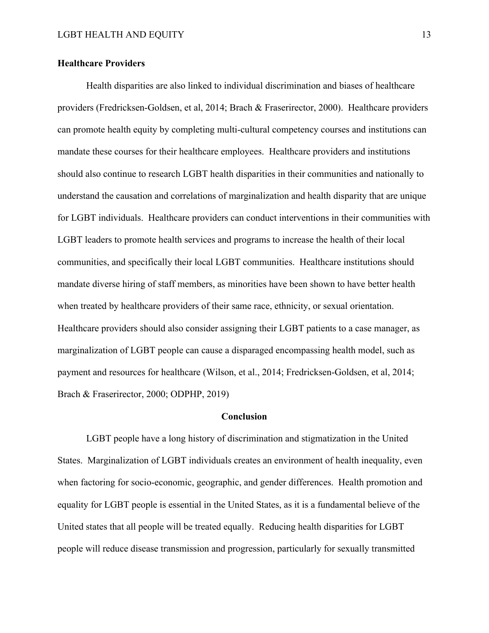#### **Healthcare Providers**

Health disparities are also linked to individual discrimination and biases of healthcare providers (Fredricksen-Goldsen, et al, 2014; Brach & Fraserirector, 2000). Healthcare providers can promote health equity by completing multi-cultural competency courses and institutions can mandate these courses for their healthcare employees. Healthcare providers and institutions should also continue to research LGBT health disparities in their communities and nationally to understand the causation and correlations of marginalization and health disparity that are unique for LGBT individuals. Healthcare providers can conduct interventions in their communities with LGBT leaders to promote health services and programs to increase the health of their local communities, and specifically their local LGBT communities. Healthcare institutions should mandate diverse hiring of staff members, as minorities have been shown to have better health when treated by healthcare providers of their same race, ethnicity, or sexual orientation. Healthcare providers should also consider assigning their LGBT patients to a case manager, as marginalization of LGBT people can cause a disparaged encompassing health model, such as payment and resources for healthcare (Wilson, et al., 2014; Fredricksen-Goldsen, et al, 2014; Brach & Fraserirector, 2000; ODPHP, 2019)

#### **Conclusion**

LGBT people have a long history of discrimination and stigmatization in the United States. Marginalization of LGBT individuals creates an environment of health inequality, even when factoring for socio-economic, geographic, and gender differences. Health promotion and equality for LGBT people is essential in the United States, as it is a fundamental believe of the United states that all people will be treated equally. Reducing health disparities for LGBT people will reduce disease transmission and progression, particularly for sexually transmitted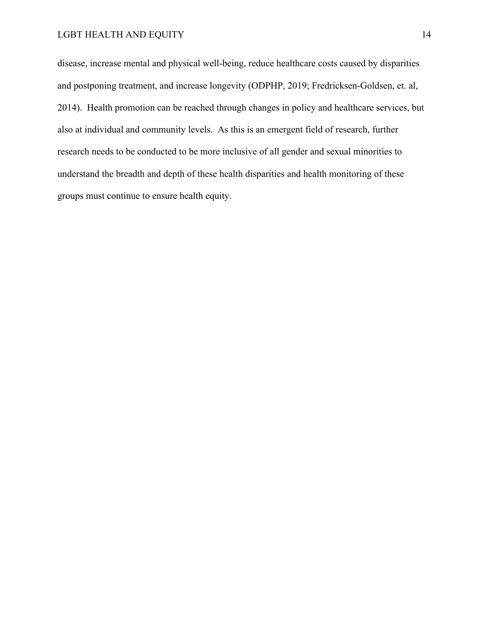#### LGBT HEALTH AND EQUITY 14

disease, increase mental and physical well-being, reduce healthcare costs caused by disparities and postponing treatment, and increase longevity (ODPHP, 2019; Fredricksen-Goldsen, et. al, 2014). Health promotion can be reached through changes in policy and healthcare services, but also at individual and community levels. As this is an emergent field of research, further research needs to be conducted to be more inclusive of all gender and sexual minorities to understand the breadth and depth of these health disparities and health monitoring of these groups must continue to ensure health equity.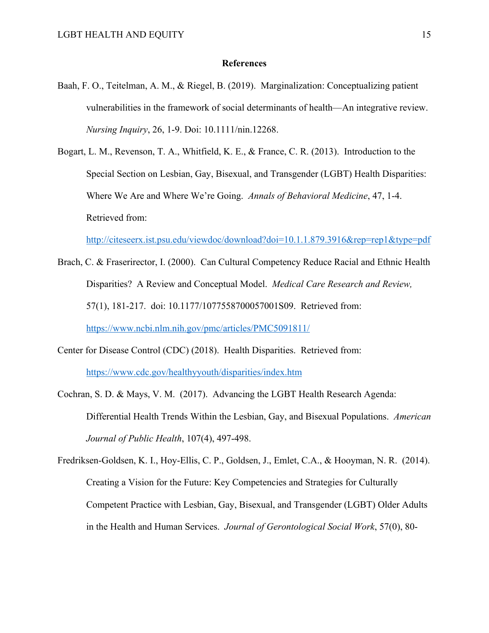#### **References**

- Baah, F. O., Teitelman, A. M., & Riegel, B. (2019). Marginalization: Conceptualizing patient vulnerabilities in the framework of social determinants of health—An integrative review. *Nursing Inquiry*, 26, 1-9. Doi: 10.1111/nin.12268.
- Bogart, L. M., Revenson, T. A., Whitfield, K. E., & France, C. R. (2013). Introduction to the Special Section on Lesbian, Gay, Bisexual, and Transgender (LGBT) Health Disparities: Where We Are and Where We're Going. *Annals of Behavioral Medicine*, 47, 1-4. Retrieved from:

http://citeseerx.ist.psu.edu/viewdoc/download?doi=10.1.1.879.3916&rep=rep1&type=pdf

- Brach, C. & Fraserirector, I. (2000). Can Cultural Competency Reduce Racial and Ethnic Health Disparities? A Review and Conceptual Model. *Medical Care Research and Review,* 57(1), 181-217. doi: 10.1177/1077558700057001S09. Retrieved from: https://www.ncbi.nlm.nih.gov/pmc/articles/PMC5091811/
- Center for Disease Control (CDC) (2018). Health Disparities. Retrieved from: https://www.cdc.gov/healthyyouth/disparities/index.htm
- Cochran, S. D. & Mays, V. M. (2017). Advancing the LGBT Health Research Agenda: Differential Health Trends Within the Lesbian, Gay, and Bisexual Populations. *American Journal of Public Health*, 107(4), 497-498.

Fredriksen-Goldsen, K. I., Hoy-Ellis, C. P., Goldsen, J., Emlet, C.A., & Hooyman, N. R. (2014). Creating a Vision for the Future: Key Competencies and Strategies for Culturally Competent Practice with Lesbian, Gay, Bisexual, and Transgender (LGBT) Older Adults in the Health and Human Services. *Journal of Gerontological Social Work*, 57(0), 80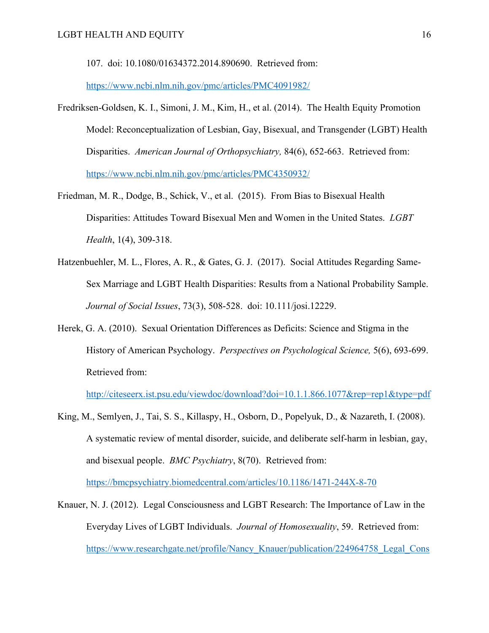107. doi: 10.1080/01634372.2014.890690. Retrieved from:

https://www.ncbi.nlm.nih.gov/pmc/articles/PMC4091982/

- Fredriksen-Goldsen, K. I., Simoni, J. M., Kim, H., et al. (2014). The Health Equity Promotion Model: Reconceptualization of Lesbian, Gay, Bisexual, and Transgender (LGBT) Health Disparities. *American Journal of Orthopsychiatry,* 84(6), 652-663. Retrieved from: https://www.ncbi.nlm.nih.gov/pmc/articles/PMC4350932/
- Friedman, M. R., Dodge, B., Schick, V., et al. (2015). From Bias to Bisexual Health Disparities: Attitudes Toward Bisexual Men and Women in the United States. *LGBT Health*, 1(4), 309-318.
- Hatzenbuehler, M. L., Flores, A. R., & Gates, G. J. (2017). Social Attitudes Regarding Same-Sex Marriage and LGBT Health Disparities: Results from a National Probability Sample. *Journal of Social Issues*, 73(3), 508-528. doi: 10.111/josi.12229.
- Herek, G. A. (2010). Sexual Orientation Differences as Deficits: Science and Stigma in the History of American Psychology. *Perspectives on Psychological Science,* 5(6), 693-699. Retrieved from:

http://citeseerx.ist.psu.edu/viewdoc/download?doi=10.1.1.866.1077&rep=rep1&type=pdf

King, M., Semlyen, J., Tai, S. S., Killaspy, H., Osborn, D., Popelyuk, D., & Nazareth, I. (2008). A systematic review of mental disorder, suicide, and deliberate self-harm in lesbian, gay, and bisexual people. *BMC Psychiatry*, 8(70). Retrieved from:

https://bmcpsychiatry.biomedcentral.com/articles/10.1186/1471-244X-8-70

Knauer, N. J. (2012). Legal Consciousness and LGBT Research: The Importance of Law in the Everyday Lives of LGBT Individuals. *Journal of Homosexuality*, 59. Retrieved from: https://www.researchgate.net/profile/Nancy Knauer/publication/224964758 Legal Cons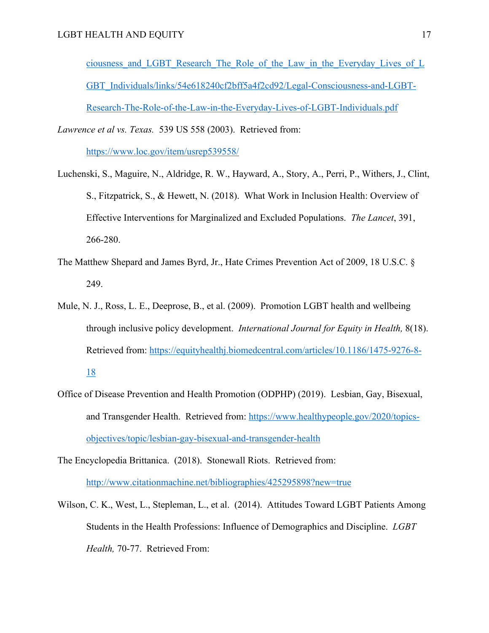ciousness\_and\_LGBT\_Research\_The\_Role\_of\_the\_Law\_in\_the\_Everyday\_Lives\_of\_L GBT\_Individuals/links/54e618240cf2bff5a4f2cd92/Legal-Consciousness-and-LGBT-Research-The-Role-of-the-Law-in-the-Everyday-Lives-of-LGBT-Individuals.pdf

*Lawrence et al vs. Texas.* 539 US 558 (2003). Retrieved from:

https://www.loc.gov/item/usrep539558/

- Luchenski, S., Maguire, N., Aldridge, R. W., Hayward, A., Story, A., Perri, P., Withers, J., Clint, S., Fitzpatrick, S., & Hewett, N. (2018). What Work in Inclusion Health: Overview of Effective Interventions for Marginalized and Excluded Populations. *The Lancet*, 391, 266-280.
- The Matthew Shepard and James Byrd, Jr., Hate Crimes Prevention Act of 2009, 18 U.S.C. § 249.
- Mule, N. J., Ross, L. E., Deeprose, B., et al. (2009). Promotion LGBT health and wellbeing through inclusive policy development. *International Journal for Equity in Health,* 8(18). Retrieved from: https://equityhealthj.biomedcentral.com/articles/10.1186/1475-9276-8- 18
- Office of Disease Prevention and Health Promotion (ODPHP) (2019). Lesbian, Gay, Bisexual, and Transgender Health. Retrieved from: https://www.healthypeople.gov/2020/topicsobjectives/topic/lesbian-gay-bisexual-and-transgender-health

The Encyclopedia Brittanica. (2018). Stonewall Riots. Retrieved from: http://www.citationmachine.net/bibliographies/425295898?new=true

Wilson, C. K., West, L., Stepleman, L., et al. (2014). Attitudes Toward LGBT Patients Among Students in the Health Professions: Influence of Demographics and Discipline. *LGBT Health,* 70-77. Retrieved From: